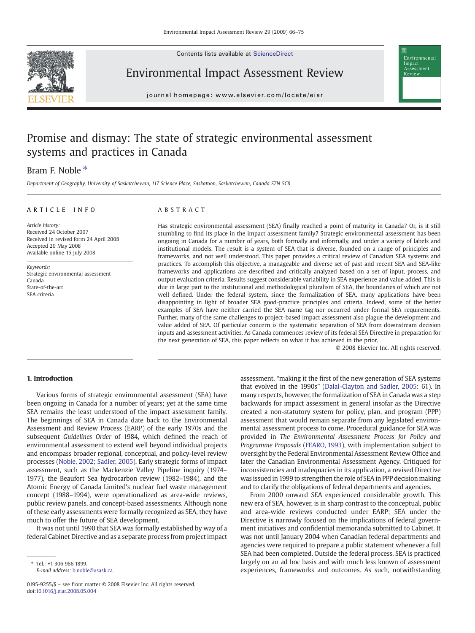Contents lists available at ScienceDirect



Environmental Impact Assessment Review

journal homepage: www.elsevier.com/locate/ejar  $j$  or expression e even in the relation  $\alpha$ 

# Promise and dismay: The state of strategic environmental assessment systems and practices in Canada

## Bram F. Noble  $*$

Department of Geography, University of Saskatchewan, 117 Science Place, Saskatoon, Saskatchewan, Canada S7N 5C8

## ARTICLE INFO ABSTRACT

Article history: Received 24 October 2007 Received in revised form 24 April 2008 Accepted 20 May 2008 Available online 15 July 2008

Keywords: Strategic environmental assessment Canada State-of-the-art SEA criteria

Has strategic environmental assessment (SEA) finally reached a point of maturity in Canada? Or, is it still stumbling to find its place in the impact assessment family? Strategic environmental assessment has been ongoing in Canada for a number of years, both formally and informally, and under a variety of labels and institutional models. The result is a system of SEA that is diverse, founded on a range of principles and frameworks, and not well understood. This paper provides a critical review of Canadian SEA systems and practices. To accomplish this objective, a manageable and diverse set of past and recent SEA and SEA-like frameworks and applications are described and critically analyzed based on a set of input, process, and output evaluation criteria. Results suggest considerable variability in SEA experience and value added. This is due in large part to the institutional and methodological pluralism of SEA, the boundaries of which are not well defined. Under the federal system, since the formalization of SEA, many applications have been disappointing in light of broader SEA good-practice principles and criteria. Indeed, some of the better examples of SEA have neither carried the SEA name tag nor occurred under formal SEA requirements. Further, many of the same challenges to project-based impact assessment also plague the development and value added of SEA. Of particular concern is the systematic separation of SEA from downstream decision inputs and assessment activities. As Canada commences review of its federal SEA Directive in preparation for the next generation of SEA, this paper reflects on what it has achieved in the prior.

© 2008 Elsevier Inc. All rights reserved.

Environmental Impact Assessment

### 1. Introduction

Various forms of strategic environmental assessment (SEA) have been ongoing in Canada for a number of years; yet at the same time SEA remains the least understood of the impact assessment family. The beginnings of SEA in Canada date back to the Environmental Assessment and Review Process (EARP) of the early 1970s and the subsequent Guidelines Order of 1984, which defined the reach of environmental assessment to extend well beyond individual projects and encompass broader regional, conceptual, and policy-level review processes ([Noble, 2002; Sadler, 2005\)](#page--1-0). Early strategic forms of impact assessment, such as the Mackenzie Valley Pipeline inquiry (1974– 1977), the Beaufort Sea hydrocarbon review (1982–1984), and the Atomic Energy of Canada Limited's nuclear fuel waste management concept (1988–1994), were operationalized as area-wide reviews, public review panels, and concept-based assessments. Although none of these early assessments were formally recognized as SEA, they have much to offer the future of SEA development.

It was not until 1990 that SEA was formally established by way of a federal Cabinet Directive and as a separate process from project impact

assessment, "making it the first of the new generation of SEA systems that evolved in the 1990s" ([Dalal-Clayton and Sadler, 2005:](#page--1-0) 61). In many respects, however, the formalization of SEA in Canada was a step backwards for impact assessment in general insofar as the Directive created a non-statutory system for policy, plan, and program (PPP) assessment that would remain separate from any legislated environmental assessment process to come. Procedural guidance for SEA was provided in The Environmental Assessment Process for Policy and Programme Proposals [\(FEARO, 1993\)](#page--1-0), with implementation subject to oversight by the Federal Environmental Assessment Review Office and later the Canadian Environmental Assessment Agency. Critiqued for inconsistencies and inadequacies in its application, a revised Directive was issued in 1999 to strengthen the role of SEA in PPP decision making and to clarify the obligations of federal departments and agencies.

From 2000 onward SEA experienced considerable growth. This new era of SEA, however, is in sharp contrast to the conceptual, public and area-wide reviews conducted under EARP; SEA under the Directive is narrowly focused on the implications of federal government initiatives and confidential memoranda submitted to Cabinet. It was not until January 2004 when Canadian federal departments and agencies were required to prepare a public statement whenever a full SEA had been completed. Outside the federal process, SEA is practiced largely on an ad hoc basis and with much less known of assessment experiences, frameworks and outcomes. As such, notwithstanding

<sup>⁎</sup> Tel.: +1 306 966 1899.

E-mail address: [b.noble@usask.ca](mailto:b.noble@usask.ca).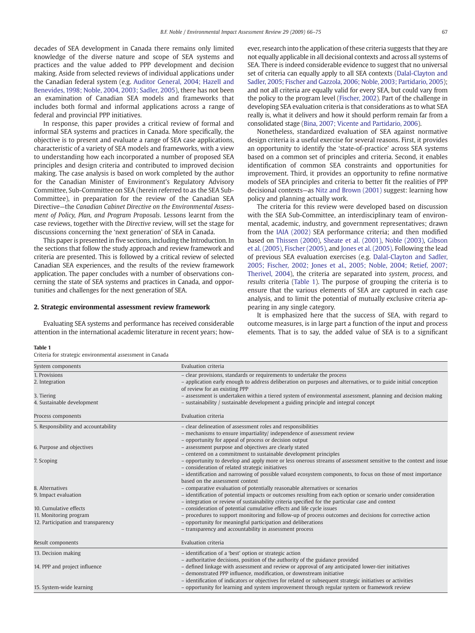decades of SEA development in Canada there remains only limited knowledge of the diverse nature and scope of SEA systems and practices and the value added to PPP development and decision making. Aside from selected reviews of individual applications under the Canadian federal system (e.g. [Auditor General, 2004; Hazell and](#page--1-0) [Benevides, 1998; Noble, 2004, 2003; Sadler, 2005\)](#page--1-0), there has not been an examination of Canadian SEA models and frameworks that includes both formal and informal applications across a range of federal and provincial PPP initiatives.

In response, this paper provides a critical review of formal and informal SEA systems and practices in Canada. More specifically, the objective is to present and evaluate a range of SEA case applications, characteristic of a variety of SEA models and frameworks, with a view to understanding how each incorporated a number of proposed SEA principles and design criteria and contributed to improved decision making. The case analysis is based on work completed by the author for the Canadian Minister of Environment's Regulatory Advisory Committee, Sub-Committee on SEA (herein referred to as the SEA Sub-Committee), in preparation for the review of the Canadian SEA Directive—the Canadian Cabinet Directive on the Environmental Assessment of Policy, Plan, and Program Proposals. Lessons learnt from the case reviews, together with the Directive review, will set the stage for discussions concerning the 'next generation' of SEA in Canada.

This paper is presented in five sections, including the Introduction. In the sections that follow the study approach and review framework and criteria are presented. This is followed by a critical review of selected Canadian SEA experiences, and the results of the review framework application. The paper concludes with a number of observations concerning the state of SEA systems and practices in Canada, and opportunities and challenges for the next generation of SEA.

#### 2. Strategic environmental assessment review framework

Evaluating SEA systems and performance has received considerable attention in the international academic literature in recent years; however, research into the application of these criteria suggests that they are not equally applicable in all decisional contexts and across all systems of SEA. There is indeed considerable evidence to suggest that no universal set of criteria can equally apply to all SEA contexts ([Dalal-Clayton and](#page--1-0) [Sadler, 2005; Fischer and Gazzola, 2006; Noble, 2003; Partidario, 2005\)](#page--1-0); and not all criteria are equally valid for every SEA, but could vary from the policy to the program level ([Fischer, 2002](#page--1-0)). Part of the challenge in developing SEA evaluation criteria is that considerations as to what SEA really is, what it delivers and how it should perform remain far from a consolidated stage ([Bina, 2007; Vicente and Partidario, 2006](#page--1-0)).

Nonetheless, standardized evaluation of SEA against normative design criteria is a useful exercise for several reasons. First, it provides an opportunity to identify the 'state-of-practice' across SEA systems based on a common set of principles and criteria. Second, it enables identification of common SEA constraints and opportunities for improvement. Third, it provides an opportunity to refine normative models of SEA principles and criteria to better fit the realities of PPP decisional contexts—as [Nitz and Brown \(2001\)](#page--1-0) suggest: learning how policy and planning actually work.

The criteria for this review were developed based on discussion with the SEA Sub-Committee, an interdisciplinary team of environmental, academic, industry, and government representatives; drawn from the [IAIA \(2002\)](#page--1-0) SEA performance criteria; and then modified based on [Thissen \(2000\)](#page--1-0), [Sheate et al. \(2001\)](#page--1-0), [Noble \(2003\),](#page--1-0) [Gibson](#page--1-0) [et al. \(2005\),](#page--1-0) [Fischer \(2005\),](#page--1-0) and [Jones et al. \(2005\).](#page--1-0) Following the lead of previous SEA evaluation exercises (e.g. [Dalal-Clayton and Sadler,](#page--1-0) [2005; Fischer, 2002; Jones et al., 2005; Noble, 2004; Retief, 2007;](#page--1-0) [Therivel, 2004\)](#page--1-0), the criteria are separated into system, process, and results criteria (Table 1). The purpose of grouping the criteria is to ensure that the various elements of SEA are captured in each case analysis, and to limit the potential of mutually exclusive criteria appearing in any single category.

It is emphasized here that the success of SEA, with regard to outcome measures, is in large part a function of the input and process elements. That is to say, the added value of SEA is to a significant

#### Table 1

Criteria for strategic environmental assessment in Canada

| System components                                            | Evaluation criteria                                                                                                                                                                                                                                                                                                     |
|--------------------------------------------------------------|-------------------------------------------------------------------------------------------------------------------------------------------------------------------------------------------------------------------------------------------------------------------------------------------------------------------------|
| 1. Provisions<br>2. Integration                              | - clear provisions, standards or requirements to undertake the process<br>- application early enough to address deliberation on purposes and alternatives, or to guide initial conception<br>of review for an existing PPP                                                                                              |
| 3. Tiering<br>4. Sustainable development                     | - assessment is undertaken within a tiered system of environmental assessment, planning and decision making<br>- sustainability / sustainable development a guiding principle and integral concept                                                                                                                      |
| Process components                                           | Evaluation criteria                                                                                                                                                                                                                                                                                                     |
| 5. Responsibility and accountability                         | - clear delineation of assessment roles and responsibilities<br>- mechanisms to ensure impartiality/ independence of assessment review<br>- opportunity for appeal of process or decision output                                                                                                                        |
| 6. Purpose and objectives                                    | - assessment purpose and objectives are clearly stated<br>- centered on a commitment to sustainable development principles                                                                                                                                                                                              |
| 7. Scoping                                                   | - opportunity to develop and apply more or less onerous streams of assessment sensitive to the context and issue<br>- consideration of related strategic initiatives<br>- identification and narrowing of possible valued ecosystem components, to focus on those of most importance<br>based on the assessment context |
| 8. Alternatives                                              | - comparative evaluation of potentially reasonable alternatives or scenarios                                                                                                                                                                                                                                            |
| 9. Impact evaluation                                         | - identification of potential impacts or outcomes resulting from each option or scenario under consideration<br>- integration or review of sustainability criteria specified for the particular case and context                                                                                                        |
| 10. Cumulative effects                                       | - consideration of potential cumulative effects and life cycle issues                                                                                                                                                                                                                                                   |
| 11. Monitoring program<br>12. Participation and transparency | - procedures to support monitoring and follow-up of process outcomes and decisions for corrective action<br>- opportunity for meaningful participation and deliberations<br>- transparency and accountability in assessment process                                                                                     |
| Result components                                            | Evaluation criteria                                                                                                                                                                                                                                                                                                     |
| 13. Decision making                                          | - identification of a 'best' option or strategic action<br>- authoritative decisions, position of the authority of the guidance provided                                                                                                                                                                                |
| 14. PPP and project influence                                | - defined linkage with assessment and review or approval of any anticipated lower-tier initiatives<br>- demonstrated PPP influence, modification, or downstream initiative<br>- identification of indicators or objectives for related or subsequent strategic initiatives or activities                                |
| 15. System-wide learning                                     | - opportunity for learning and system improvement through regular system or framework review                                                                                                                                                                                                                            |